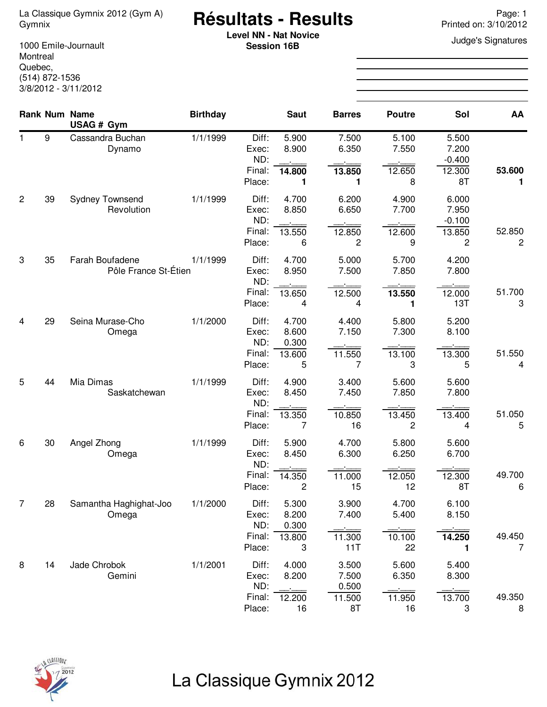# **Résultats - Results** La Classique Gymnix 2012 (Gym A) Page: 1 Gymnix Printed on: 3/10/2012

**Level NN - Nat Novice**<br> **Coopier 16B**<br> **Coopier 16B Session 16B**

1000 Emile-Journault Montreal Quebec, (514) 872-1536 3/8/2012 - 3/11/2012

|    |    | <b>Rank Num Name</b><br>USAG # Gym      | <b>Birthday</b> |                                           | <b>Saut</b>                                | <b>Barres</b>                           | <b>Poutre</b>                                   | Sol                                        | AA                       |
|----|----|-----------------------------------------|-----------------|-------------------------------------------|--------------------------------------------|-----------------------------------------|-------------------------------------------------|--------------------------------------------|--------------------------|
| 1. | 9  | Cassandra Buchan<br>Dynamo              | 1/1/1999        | Diff:<br>Exec:<br>ND:<br>Final:<br>Place: | 5.900<br>8.900<br>14.800<br>1              | 7.500<br>6.350<br>13.850<br>1           | 5.100<br>7.550<br>12.650<br>8                   | 5.500<br>7.200<br>$-0.400$<br>12.300<br>8T | 53.600<br>1              |
| 2  | 39 | <b>Sydney Townsend</b><br>Revolution    | 1/1/1999        | Diff:<br>Exec:<br>ND:<br>Final:<br>Place: | 4.700<br>8.850<br>13.550<br>6              | 6.200<br>6.650<br>12.850<br>2           | 4.900<br>7.700<br>12.600<br>9                   | 6.000<br>7.950<br>$-0.100$<br>13.850<br>2  | 52.850<br>$\overline{c}$ |
| 3  | 35 | Farah Boufadene<br>Pôle France St-Étien | 1/1/1999        | Diff:<br>Exec:<br>ND:<br>Final:<br>Place: | 4.700<br>8.950<br>13.650<br>4              | 5.000<br>7.500<br>12.500<br>4           | 5.700<br>7.850<br>13.550<br>1                   | 4.200<br>7.800<br>12.000<br>13T            | 51.700<br>3              |
| 4  | 29 | Seina Murase-Cho<br>Omega               | 1/1/2000        | Diff:<br>Exec:<br>ND:<br>Final:<br>Place: | 4.700<br>8.600<br>0.300<br>13.600<br>5     | 4.400<br>7.150<br>11.550<br>7           | 5.800<br>7.300<br>13.100<br>3                   | 5.200<br>8.100<br>13.300<br>5              | 51.550<br>4              |
| 5  | 44 | Mia Dimas<br>Saskatchewan               | 1/1/1999        | Diff:<br>Exec:<br>ND:<br>Final:<br>Place: | 4.900<br>8.450<br>13.350<br>7              | 3.400<br>7.450<br>10.850<br>16          | 5.600<br>7.850<br>13.450<br>2                   | 5.600<br>7.800<br>13.400<br>4              | 51.050<br>5              |
| 6  | 30 | Angel Zhong<br>Omega                    | 1/1/1999        | Diff:<br>Exec:<br>ND:<br>Final:<br>Place: | 5.900<br>8.450<br>14.350<br>$\overline{c}$ | 4.700<br>6.300<br>11.000<br>15          | 5.800<br>6.250<br>12.050<br>12                  | 5.600<br>6.700<br>12.300<br>8T             | 49.700<br>6              |
| 7  | 28 | Samantha Haghighat-Joo<br>Omega         | 1/1/2000        | Diff:<br>Exec:<br>ND:<br>Final:<br>Place: | 5.300<br>8.200<br>0.300<br>13.800<br>3     | 3.900<br>7.400<br>11.300<br>11T         | 4.700<br>5.400<br>10.100<br>22                  | 6.100<br>8.150<br>14.250<br>1              | 49.450<br>7              |
| 8  | 14 | Jade Chrobok<br>Gemini                  | 1/1/2001        | Diff:<br>Exec:<br>ND:<br>Final:<br>Place: | 4.000<br>8.200<br>12.200<br>16             | 3.500<br>7.500<br>0.500<br>11.500<br>8T | 5.600<br>6.350<br>i<br>Tanzania<br>11.950<br>16 | 5.400<br>8.300<br>13.700<br>3              | 49.350<br>8              |



## La Classique Gymnix 2012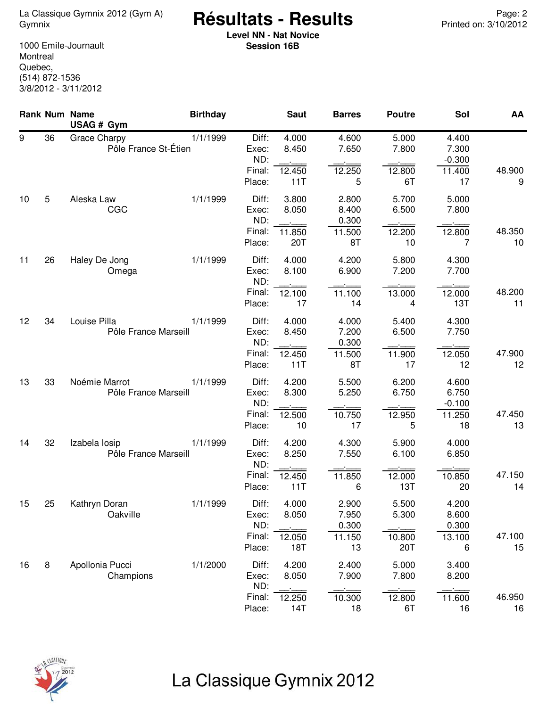<sup>2</sup> Page: La Classique Gymnix 2012 (Gym A) **Résultats - Results**<br>12/2012 Printed on: 3/10/2012

**Level NN - Nat Novice Session 16B**

1000 Emile-Journault Montreal Quebec, (514) 872-1536 3/8/2012 - 3/11/2012

|    |    | Rank Num Name<br>USAG # Gym                 | <b>Birthday</b> |                                           | <b>Saut</b>                     | <b>Barres</b>                           | <b>Poutre</b>                   | Sol                                        | AA           |
|----|----|---------------------------------------------|-----------------|-------------------------------------------|---------------------------------|-----------------------------------------|---------------------------------|--------------------------------------------|--------------|
| 9  | 36 | <b>Grace Charpy</b><br>Pôle France St-Étien | 1/1/1999        | Diff:<br>Exec:<br>ND:<br>Final:<br>Place: | 4.000<br>8.450<br>12.450<br>11T | 4.600<br>7.650<br>12.250<br>5           | 5.000<br>7.800<br>12.800<br>6T  | 4.400<br>7.300<br>$-0.300$<br>11.400<br>17 | 48.900<br>9  |
| 10 | 5  | Aleska Law<br>CGC                           | 1/1/1999        | Diff:<br>Exec:<br>ND:<br>Final:<br>Place: | 3.800<br>8.050<br>11.850<br>20T | 2.800<br>8.400<br>0.300<br>11.500<br>8T | 5.700<br>6.500<br>12.200<br>10  | 5.000<br>7.800<br>12.800<br>7              | 48.350<br>10 |
| 11 | 26 | Haley De Jong<br>Omega                      | 1/1/1999        | Diff:<br>Exec:<br>ND:<br>Final:<br>Place: | 4.000<br>8.100<br>12.100<br>17  | 4.200<br>6.900<br>11.100<br>14          | 5.800<br>7.200<br>13.000<br>4   | 4.300<br>7.700<br>12.000<br>13T            | 48.200<br>11 |
| 12 | 34 | Louise Pilla<br>Pôle France Marseill        | 1/1/1999        | Diff:<br>Exec:<br>ND:<br>Final:<br>Place: | 4.000<br>8.450<br>12.450<br>11T | 4.000<br>7.200<br>0.300<br>11.500<br>8T | 5.400<br>6.500<br>11.900<br>17  | 4.300<br>7.750<br>12.050<br>12             | 47.900<br>12 |
| 13 | 33 | Noémie Marrot<br>Pôle France Marseill       | 1/1/1999        | Diff:<br>Exec:<br>ND:<br>Final:<br>Place: | 4.200<br>8.300<br>12.500<br>10  | 5.500<br>5.250<br>10.750<br>17          | 6.200<br>6.750<br>12.950<br>5   | 4.600<br>6.750<br>$-0.100$<br>11.250<br>18 | 47.450<br>13 |
| 14 | 32 | Izabela losip<br>Pôle France Marseill       | 1/1/1999        | Diff:<br>Exec:<br>ND:<br>Final:<br>Place: | 4.200<br>8.250<br>12.450<br>11T | 4.300<br>7.550<br>11.850<br>6           | 5.900<br>6.100<br>12.000<br>13T | 4.000<br>6.850<br>10.850<br>20             | 47.150<br>14 |
| 15 | 25 | Kathryn Doran<br>Oakville                   | 1/1/1999        | Diff:<br>Exec:<br>ND:<br>Final:<br>Place: | 4.000<br>8.050<br>12.050<br>18T | 2.900<br>7.950<br>0.300<br>11.150<br>13 | 5.500<br>5.300<br>10.800<br>20T | 4.200<br>8.600<br>0.300<br>13.100<br>6     | 47.100<br>15 |
| 16 | 8  | Apollonia Pucci<br>Champions                | 1/1/2000        | Diff:<br>Exec:<br>ND:<br>Final:<br>Place: | 4.200<br>8.050<br>12.250<br>14T | 2.400<br>7.900<br>10.300<br>18          | 5.000<br>7.800<br>12.800<br>6T  | 3.400<br>8.200<br>11.600<br>16             | 46.950<br>16 |



## La Classique Gymnix 2012